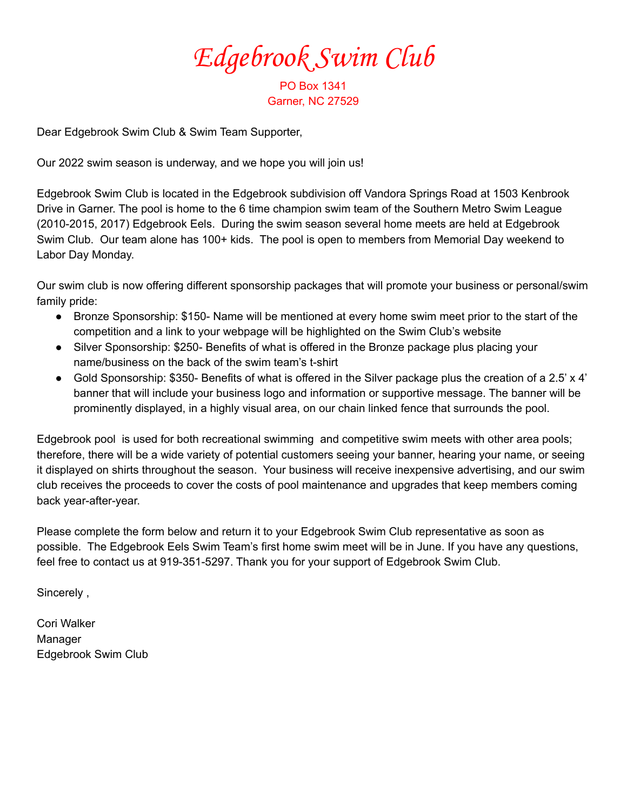Edgebrook Swim Club

PO Box 1341 Garner, NC 27529

Dear Edgebrook Swim Club & Swim Team Supporter,

Our 2022 swim season is underway, and we hope you will join us!

Edgebrook Swim Club is located in the Edgebrook subdivision off Vandora Springs Road at 1503 Kenbrook Drive in Garner. The pool is home to the 6 time champion swim team of the Southern Metro Swim League (2010-2015, 2017) Edgebrook Eels. During the swim season several home meets are held at Edgebrook Swim Club. Our team alone has 100+ kids. The pool is open to members from Memorial Day weekend to Labor Day Monday.

Our swim club is now offering different sponsorship packages that will promote your business or personal/swim family pride:

- Bronze Sponsorship: \$150- Name will be mentioned at every home swim meet prior to the start of the competition and a link to your webpage will be highlighted on the Swim Club's website
- Silver Sponsorship: \$250- Benefits of what is offered in the Bronze package plus placing your name/business on the back of the swim team's t-shirt
- Gold Sponsorship:  $$350$  Benefits of what is offered in the Silver package plus the creation of a 2.5' x 4' banner that will include your business logo and information or supportive message. The banner will be prominently displayed, in a highly visual area, on our chain linked fence that surrounds the pool.

Edgebrook pool is used for both recreational swimming and competitive swim meets with other area pools; therefore, there will be a wide variety of potential customers seeing your banner, hearing your name, or seeing it displayed on shirts throughout the season. Your business will receive inexpensive advertising, and our swim club receives the proceeds to cover the costs of pool maintenance and upgrades that keep members coming back year-after-year.

Please complete the form below and return it to your Edgebrook Swim Club representative as soon as possible. The Edgebrook Eels Swim Team's first home swim meet will be in June. If you have any questions, feel free to contact us at 919-351-5297. Thank you for your support of Edgebrook Swim Club.

Sincerely ,

Cori Walker Manager Edgebrook Swim Club